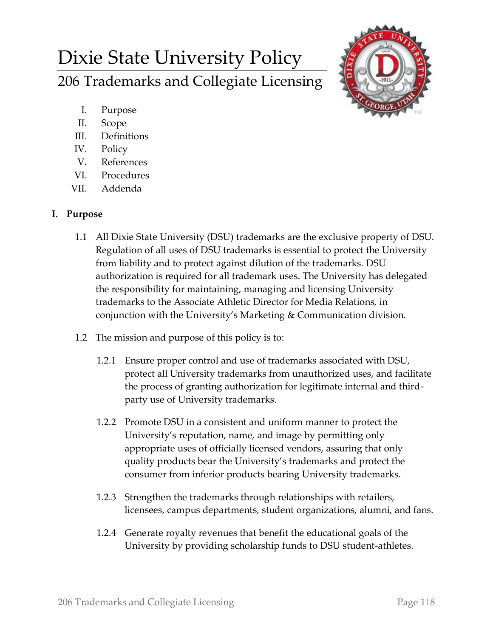# Dixie State University Policy 206 Trademarks and Collegiate Licensing



- I. Purpose
- II. Scope
- III. Definitions
- IV. Policy
- V. References
- VI. Procedures
- VII. Addenda

## **I. Purpose**

- 1.1 All Dixie State University (DSU) trademarks are the exclusive property of DSU. Regulation of all uses of DSU trademarks is essential to protect the University from liability and to protect against dilution of the trademarks. DSU authorization is required for all trademark uses. The University has delegated the responsibility for maintaining, managing and licensing University trademarks to the Associate Athletic Director for Media Relations, in conjunction with the University's Marketing & Communication division.
- 1.2 The mission and purpose of this policy is to:
	- 1.2.1 Ensure proper control and use of trademarks associated with DSU, protect all University trademarks from unauthorized uses, and facilitate the process of granting authorization for legitimate internal and thirdparty use of University trademarks.
	- 1.2.2 Promote DSU in a consistent and uniform manner to protect the University's reputation, name, and image by permitting only appropriate uses of officially licensed vendors, assuring that only quality products bear the University's trademarks and protect the consumer from inferior products bearing University trademarks.
	- 1.2.3 Strengthen the trademarks through relationships with retailers, licensees, campus departments, student organizations, alumni, and fans.
	- 1.2.4 Generate royalty revenues that benefit the educational goals of the University by providing scholarship funds to DSU student-athletes.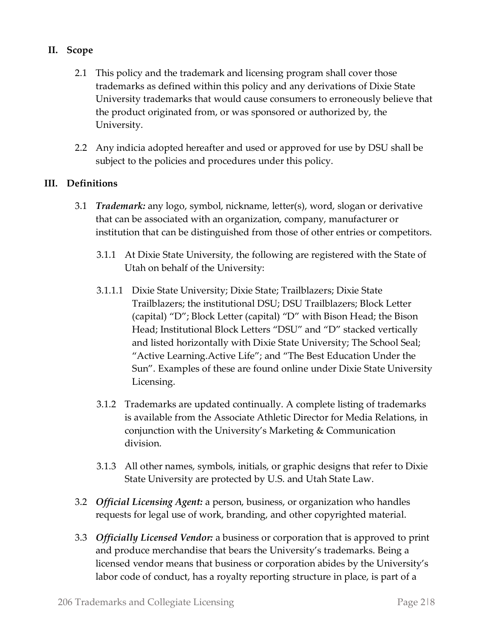## **II. Scope**

- 2.1 This policy and the trademark and licensing program shall cover those trademarks as defined within this policy and any derivations of Dixie State University trademarks that would cause consumers to erroneously believe that the product originated from, or was sponsored or authorized by, the University.
- 2.2 Any indicia adopted hereafter and used or approved for use by DSU shall be subject to the policies and procedures under this policy.

#### **III. Definitions**

- 3.1 *Trademark:* any logo, symbol, nickname, letter(s), word, slogan or derivative that can be associated with an organization, company, manufacturer or institution that can be distinguished from those of other entries or competitors.
	- 3.1.1 At Dixie State University, the following are registered with the State of Utah on behalf of the University:
	- 3.1.1.1 Dixie State University; Dixie State; Trailblazers; Dixie State Trailblazers; the institutional DSU; DSU Trailblazers; Block Letter (capital) "D"; Block Letter (capital) "D" with Bison Head; the Bison Head; Institutional Block Letters "DSU" and "D" stacked vertically and listed horizontally with Dixie State University; The School Seal; "Active Learning.Active Life"; and "The Best Education Under the Sun". Examples of these are found online under Dixie State University Licensing.
	- 3.1.2 Trademarks are updated continually. A complete listing of trademarks is available from the Associate Athletic Director for Media Relations, in conjunction with the University's Marketing & Communication division.
	- 3.1.3 All other names, symbols, initials, or graphic designs that refer to Dixie State University are protected by U.S. and Utah State Law.
- 3.2 *Official Licensing Agent:* a person, business, or organization who handles requests for legal use of work, branding, and other copyrighted material.
- 3.3 *Officially Licensed Vendor:* a business or corporation that is approved to print and produce merchandise that bears the University's trademarks. Being a licensed vendor means that business or corporation abides by the University's labor code of conduct, has a royalty reporting structure in place, is part of a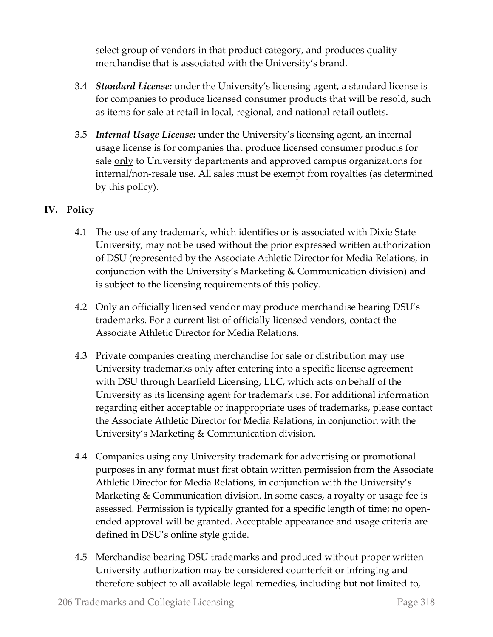select group of vendors in that product category, and produces quality merchandise that is associated with the University's brand.

- 3.4 *Standard License:* under the University's licensing agent, a standard license is for companies to produce licensed consumer products that will be resold, such as items for sale at retail in local, regional, and national retail outlets.
- 3.5 *Internal Usage License:* under the University's licensing agent, an internal usage license is for companies that produce licensed consumer products for sale <u>only</u> to University departments and approved campus organizations for internal/non-resale use. All sales must be exempt from royalties (as determined by this policy).

## **IV. Policy**

- 4.1 The use of any trademark, which identifies or is associated with Dixie State University, may not be used without the prior expressed written authorization of DSU (represented by the Associate Athletic Director for Media Relations, in conjunction with the University's Marketing & Communication division) and is subject to the licensing requirements of this policy.
- 4.2 Only an officially licensed vendor may produce merchandise bearing DSU's trademarks. For a current list of officially licensed vendors, contact the Associate Athletic Director for Media Relations.
- 4.3 Private companies creating merchandise for sale or distribution may use University trademarks only after entering into a specific license agreement with DSU through Learfield Licensing, LLC, which acts on behalf of the University as its licensing agent for trademark use. For additional information regarding either acceptable or inappropriate uses of trademarks, please contact the Associate Athletic Director for Media Relations, in conjunction with the University's Marketing & Communication division.
- 4.4 Companies using any University trademark for advertising or promotional purposes in any format must first obtain written permission from the Associate Athletic Director for Media Relations, in conjunction with the University's Marketing & Communication division. In some cases, a royalty or usage fee is assessed. Permission is typically granted for a specific length of time; no openended approval will be granted. Acceptable appearance and usage criteria are defined in DSU's online style guide.
- 4.5 Merchandise bearing DSU trademarks and produced without proper written University authorization may be considered counterfeit or infringing and therefore subject to all available legal remedies, including but not limited to,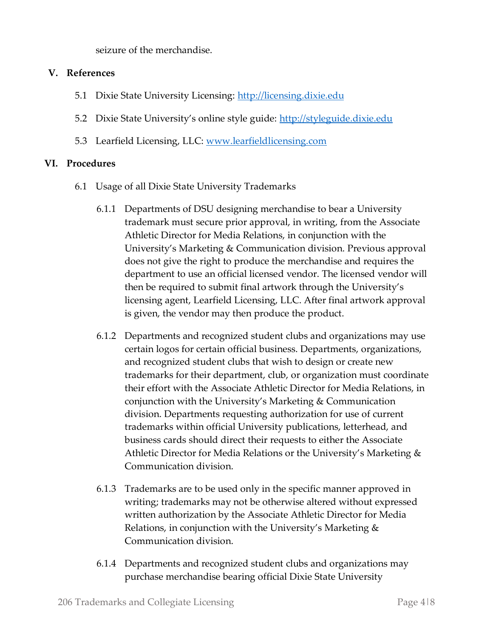seizure of the merchandise.

#### **V. References**

- 5.1 Dixie State University Licensing: [http://licensing.dixie.edu](http://licensing.dixie.edu/)
- 5.2 Dixie State University's online style guide: [http://styleguide.dixie.edu](http://styleguide.dixie.edu/)
- 5.3 Learfield Licensing, LLC: [www.learfieldlicensing.com](http://www.learfieldlicensing.com/)

### **VI. Procedures**

- 6.1 Usage of all Dixie State University Trademarks
	- 6.1.1 Departments of DSU designing merchandise to bear a University trademark must secure prior approval, in writing, from the Associate Athletic Director for Media Relations, in conjunction with the University's Marketing & Communication division. Previous approval does not give the right to produce the merchandise and requires the department to use an official licensed vendor. The licensed vendor will then be required to submit final artwork through the University's licensing agent, Learfield Licensing, LLC. After final artwork approval is given, the vendor may then produce the product.
	- 6.1.2 Departments and recognized student clubs and organizations may use certain logos for certain official business. Departments, organizations, and recognized student clubs that wish to design or create new trademarks for their department, club, or organization must coordinate their effort with the Associate Athletic Director for Media Relations, in conjunction with the University's Marketing & Communication division. Departments requesting authorization for use of current trademarks within official University publications, letterhead, and business cards should direct their requests to either the Associate Athletic Director for Media Relations or the University's Marketing & Communication division.
	- 6.1.3 Trademarks are to be used only in the specific manner approved in writing; trademarks may not be otherwise altered without expressed written authorization by the Associate Athletic Director for Media Relations, in conjunction with the University's Marketing & Communication division.
	- 6.1.4 Departments and recognized student clubs and organizations may purchase merchandise bearing official Dixie State University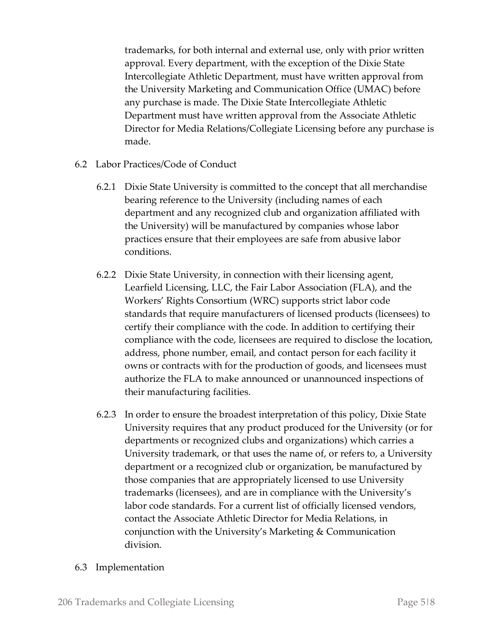trademarks, for both internal and external use, only with prior written approval. Every department, with the exception of the Dixie State Intercollegiate Athletic Department, must have written approval from the University Marketing and Communication Office (UMAC) before any purchase is made. The Dixie State Intercollegiate Athletic Department must have written approval from the Associate Athletic Director for Media Relations/Collegiate Licensing before any purchase is made.

- 6.2 Labor Practices/Code of Conduct
	- 6.2.1 Dixie State University is committed to the concept that all merchandise bearing reference to the University (including names of each department and any recognized club and organization affiliated with the University) will be manufactured by companies whose labor practices ensure that their employees are safe from abusive labor conditions.
	- 6.2.2 Dixie State University, in connection with their licensing agent, Learfield Licensing, LLC, the Fair Labor Association (FLA), and the Workers' Rights Consortium (WRC) supports strict labor code standards that require manufacturers of licensed products (licensees) to certify their compliance with the code. In addition to certifying their compliance with the code, licensees are required to disclose the location, address, phone number, email, and contact person for each facility it owns or contracts with for the production of goods, and licensees must authorize the FLA to make announced or unannounced inspections of their manufacturing facilities.
	- 6.2.3 In order to ensure the broadest interpretation of this policy, Dixie State University requires that any product produced for the University (or for departments or recognized clubs and organizations) which carries a University trademark, or that uses the name of, or refers to, a University department or a recognized club or organization, be manufactured by those companies that are appropriately licensed to use University trademarks (licensees), and are in compliance with the University's labor code standards. For a current list of officially licensed vendors, contact the Associate Athletic Director for Media Relations, in conjunction with the University's Marketing & Communication division.
- 6.3 Implementation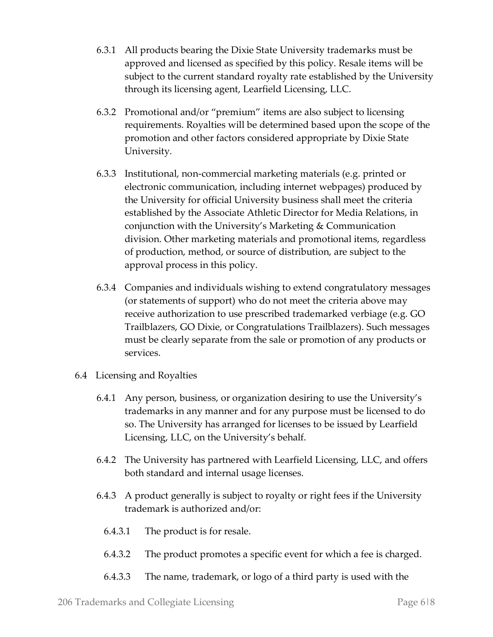- 6.3.1 All products bearing the Dixie State University trademarks must be approved and licensed as specified by this policy. Resale items will be subject to the current standard royalty rate established by the University through its licensing agent, Learfield Licensing, LLC.
- 6.3.2 Promotional and/or "premium" items are also subject to licensing requirements. Royalties will be determined based upon the scope of the promotion and other factors considered appropriate by Dixie State University.
- 6.3.3 Institutional, non-commercial marketing materials (e.g. printed or electronic communication, including internet webpages) produced by the University for official University business shall meet the criteria established by the Associate Athletic Director for Media Relations, in conjunction with the University's Marketing & Communication division. Other marketing materials and promotional items, regardless of production, method, or source of distribution, are subject to the approval process in this policy.
- 6.3.4 Companies and individuals wishing to extend congratulatory messages (or statements of support) who do not meet the criteria above may receive authorization to use prescribed trademarked verbiage (e.g. GO Trailblazers, GO Dixie, or Congratulations Trailblazers). Such messages must be clearly separate from the sale or promotion of any products or services.
- 6.4 Licensing and Royalties
	- 6.4.1 Any person, business, or organization desiring to use the University's trademarks in any manner and for any purpose must be licensed to do so. The University has arranged for licenses to be issued by Learfield Licensing, LLC, on the University's behalf.
	- 6.4.2 The University has partnered with Learfield Licensing, LLC, and offers both standard and internal usage licenses.
	- 6.4.3 A product generally is subject to royalty or right fees if the University trademark is authorized and/or:
		- 6.4.3.1 The product is for resale.
		- 6.4.3.2 The product promotes a specific event for which a fee is charged.
		- 6.4.3.3 The name, trademark, or logo of a third party is used with the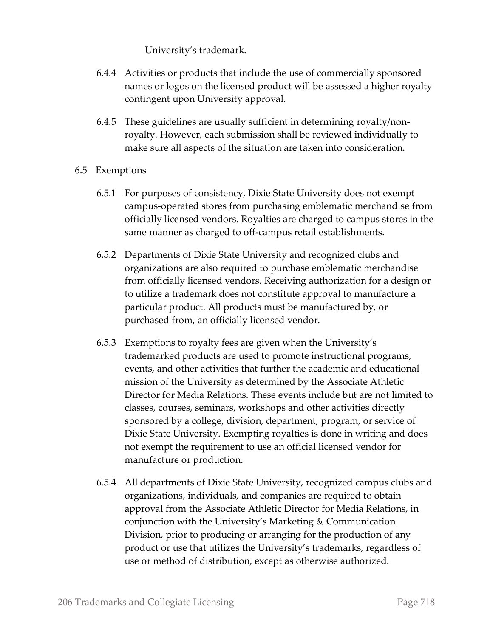University's trademark.

- 6.4.4 Activities or products that include the use of commercially sponsored names or logos on the licensed product will be assessed a higher royalty contingent upon University approval.
- 6.4.5 These guidelines are usually sufficient in determining royalty/nonroyalty. However, each submission shall be reviewed individually to make sure all aspects of the situation are taken into consideration.
- 6.5 Exemptions
	- 6.5.1 For purposes of consistency, Dixie State University does not exempt campus-operated stores from purchasing emblematic merchandise from officially licensed vendors. Royalties are charged to campus stores in the same manner as charged to off-campus retail establishments.
	- 6.5.2 Departments of Dixie State University and recognized clubs and organizations are also required to purchase emblematic merchandise from officially licensed vendors. Receiving authorization for a design or to utilize a trademark does not constitute approval to manufacture a particular product. All products must be manufactured by, or purchased from, an officially licensed vendor.
	- 6.5.3 Exemptions to royalty fees are given when the University's trademarked products are used to promote instructional programs, events, and other activities that further the academic and educational mission of the University as determined by the Associate Athletic Director for Media Relations. These events include but are not limited to classes, courses, seminars, workshops and other activities directly sponsored by a college, division, department, program, or service of Dixie State University. Exempting royalties is done in writing and does not exempt the requirement to use an official licensed vendor for manufacture or production.
	- 6.5.4 All departments of Dixie State University, recognized campus clubs and organizations, individuals, and companies are required to obtain approval from the Associate Athletic Director for Media Relations, in conjunction with the University's Marketing & Communication Division, prior to producing or arranging for the production of any product or use that utilizes the University's trademarks, regardless of use or method of distribution, except as otherwise authorized.